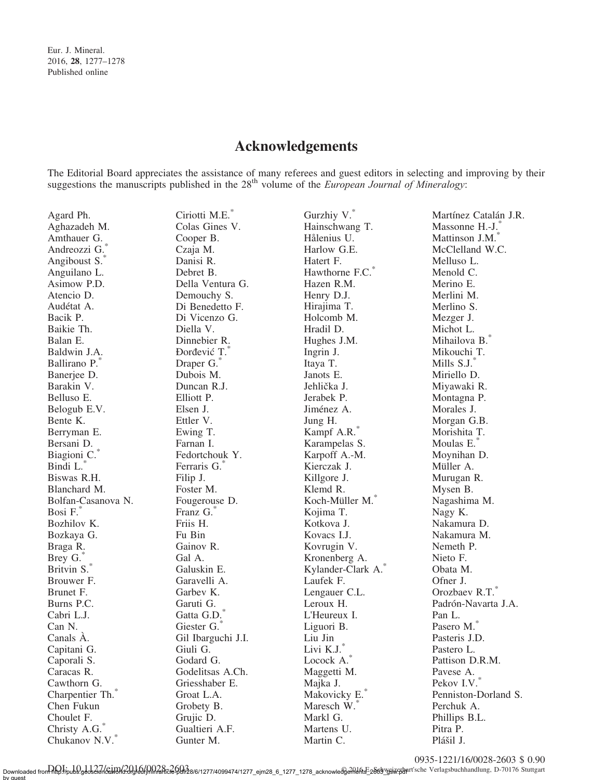## Acknowledgements

The Editorial Board appreciates the assistance of many referees and guest editors in selecting and improving by their suggestions the manuscripts published in the  $28<sup>th</sup>$  volume of the *European Journal of Mineralogy*:

| Agard Ph.                    | Ciriotti M.E.*     | Gurzhiy V.*          | Martínez Catalán J.R. |
|------------------------------|--------------------|----------------------|-----------------------|
| Aghazadeh M.                 | Colas Gines V.     | Hainschwang T.       | Massonne H.-J.        |
| Amthauer G.                  | Cooper B.          | Hålenius U.          | Mattinson J.M.        |
| Andreozzi G.                 | Czaja M.           | Harlow G.E.          | McClelland W.C.       |
| Angiboust S.                 | Danisi R.          | Hatert F.            | Melluso L.            |
| Anguilano L.                 | Debret B.          | Hawthorne F.C.*      | Menold C.             |
| Asimow P.D.                  | Della Ventura G.   | Hazen R.M.           | Merino E.             |
| Atencio D.                   | Demouchy S.        | Henry D.J.           | Merlini M.            |
| Audétat A.                   | Di Benedetto F.    | Hirajima T.          | Merlino S.            |
| Bacik P.                     | Di Vicenzo G.      | Holcomb M.           | Mezger J.             |
| Baikie Th.                   | Diella V.          | Hradil D.            | Michot L.             |
| Balan E.                     | Dinnebier R.       | Hughes J.M.          | Mihailova B.          |
| Baldwin J.A.                 | Đorđević T.*       | Ingrin J.            | Mikouchi T.           |
| Ballirano P.                 | Draper G.          | Itaya T.             | Mills S.J.*           |
| Banerjee D.                  | Dubois M.          | Janots E.            | Miriello D.           |
| Barakin V.                   | Duncan R.J.        | Jehlička J.          | Miyawaki R.           |
| Belluso E.                   | Elliott P.         | Jerabek P.           | Montagna P.           |
| Belogub E.V.                 | Elsen J.           | Jiménez A.           | Morales J.            |
| Bente K.                     | Ettler V.          | Jung H.              | Morgan G.B.           |
| Berryman E.                  | Ewing T.           | Kampf A.R.*          | Morishita T.          |
| Bersani D.                   | Farnan I.          | Karampelas S.        | Moulas E.*            |
| Biagioni C.                  | Fedortchouk Y.     | Karpoff A.-M.        | Moynihan D.           |
| Bindi L.                     | Ferraris G.        | Kierczak J.          | Müller A.             |
| Biswas R.H.                  | Filip J.           | Killgore J.          | Murugan R.            |
| Blanchard M.                 | Foster M.          | Klemd R.             | Mysen B.              |
| Bolfan-Casanova N.           | Fougerouse D.      | Koch-Müller M.       | Nagashima M.          |
| Bosi F.                      | Franz G.           | Kojima T.            | Nagy K.               |
| Bozhilov K.                  | Friis H.           | Kotkova J.           | Nakamura D.           |
| Bozkaya G.                   | Fu Bin             | Kovacs I.J.          | Nakamura M.           |
| Braga R.                     | Gainov R.          | Kovrugin V.          | Nemeth P.             |
| Brey G.                      | Gal A.             | Kronenberg A.        | Nieto F.              |
| Britvin S.*                  | Galuskin E.        | Kylander-Clark A.    | Obata M.              |
| Brouwer F.                   | Garavelli A.       | Laufek F.            | Ofner J.              |
| Brunet F.                    | Garbev K.          | Lengauer C.L.        | Orozbaev R.T.*        |
| Burns P.C.                   | Garuti G.          | Leroux H.            | Padrón-Navarta J.A.   |
| Cabri L.J.                   | Gatta G.D.         | L'Heureux I.         | Pan L.                |
| Can N.                       | Giester G.         | Liguori B.           | Pasero M.             |
| Canals À.                    | Gil Ibarguchi J.I. | Liu Jin              | Pasteris J.D.         |
| Capitani G.                  | Giuli G.           | $\mbox{Livi K.J.}^*$ | Pastero L.            |
| Caporali S.                  | Godard G.          | Locock A.            | Pattison D.R.M.       |
| Caracas R.                   | Godelitsas A.Ch.   | Maggetti M.          | Pavese A.             |
| Cawthorn G.                  | Griesshaber E.     | Majka J.             | Pekov I.V.            |
| Charpentier Th. <sup>*</sup> | Groat L.A.         | Makovicky E.*        | Penniston-Dorland S.  |
| Chen Fukun                   | Grobety B.         | Maresch W.           | Perchuk A.            |
| Choulet F.                   | Grujic D.          | Markl G.             | Phillips B.L.         |
| Christy A.G.                 | Gualtieri A.F.     | Martens U.           | Pitra P.              |
| Chukanov N.V.                | Gunter M.          | Martin C.            | Plášil J.             |

0935-1221/16/0028-2603 \$ 0.90